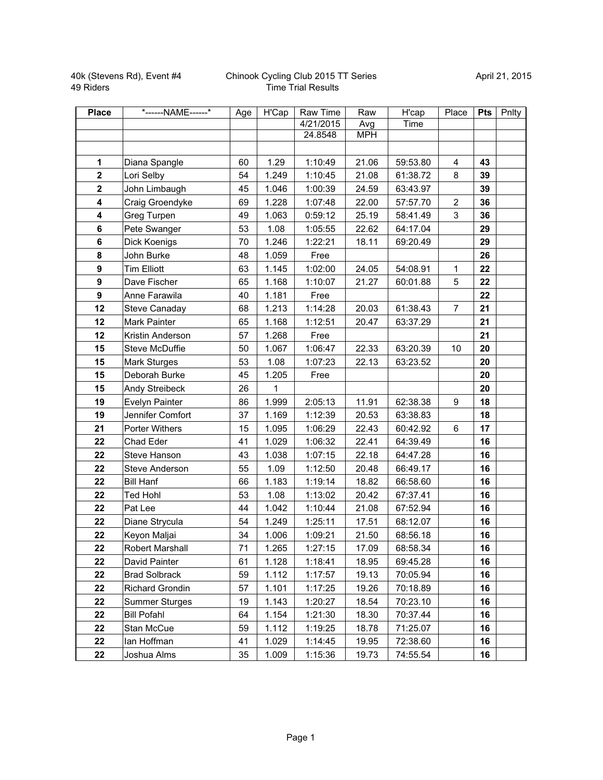| <b>Place</b>     | *------NAME------*    | Age | H'Cap        | Raw Time  | Raw        | H'cap    | Place            | Pts | Pnlty |
|------------------|-----------------------|-----|--------------|-----------|------------|----------|------------------|-----|-------|
|                  |                       |     |              | 4/21/2015 | Avg        | Time     |                  |     |       |
|                  |                       |     |              | 24.8548   | <b>MPH</b> |          |                  |     |       |
|                  |                       |     |              |           |            |          |                  |     |       |
| $\mathbf{1}$     | Diana Spangle         | 60  | 1.29         | 1:10:49   | 21.06      | 59:53.80 | 4                | 43  |       |
| $\mathbf{2}$     | Lori Selby            | 54  | 1.249        | 1:10:45   | 21.08      | 61:38.72 | 8                | 39  |       |
| $\mathbf{2}$     | John Limbaugh         | 45  | 1.046        | 1:00:39   | 24.59      | 63:43.97 |                  | 39  |       |
| 4                | Craig Groendyke       | 69  | 1.228        | 1:07:48   | 22.00      | 57:57.70 | $\overline{c}$   | 36  |       |
| 4                | Greg Turpen           | 49  | 1.063        | 0:59:12   | 25.19      | 58:41.49 | 3                | 36  |       |
| $6\phantom{a}$   | Pete Swanger          | 53  | 1.08         | 1:05:55   | 22.62      | 64:17.04 |                  | 29  |       |
| $\bf 6$          | Dick Koenigs          | 70  | 1.246        | 1:22:21   | 18.11      | 69:20.49 |                  | 29  |       |
| 8                | John Burke            | 48  | 1.059        | Free      |            |          |                  | 26  |       |
| $\boldsymbol{9}$ | <b>Tim Elliott</b>    | 63  | 1.145        | 1:02:00   | 24.05      | 54:08.91 | 1                | 22  |       |
| 9                | Dave Fischer          | 65  | 1.168        | 1:10:07   | 21.27      | 60:01.88 | 5                | 22  |       |
| $\boldsymbol{9}$ | Anne Farawila         | 40  | 1.181        | Free      |            |          |                  | 22  |       |
| 12               | Steve Canaday         | 68  | 1.213        | 1:14:28   | 20.03      | 61:38.43 | $\overline{7}$   | 21  |       |
| 12               | Mark Painter          | 65  | 1.168        | 1:12:51   | 20.47      | 63:37.29 |                  | 21  |       |
| 12               | Kristin Anderson      | 57  | 1.268        | Free      |            |          |                  | 21  |       |
| 15               | Steve McDuffie        | 50  | 1.067        | 1:06:47   | 22.33      | 63:20.39 | 10               | 20  |       |
| 15               | <b>Mark Sturges</b>   | 53  | 1.08         | 1:07:23   | 22.13      | 63:23.52 |                  | 20  |       |
| 15               | Deborah Burke         | 45  | 1.205        | Free      |            |          |                  | 20  |       |
| 15               | Andy Streibeck        | 26  | $\mathbf{1}$ |           |            |          |                  | 20  |       |
| 19               | Evelyn Painter        | 86  | 1.999        | 2:05:13   | 11.91      | 62:38.38 | $\boldsymbol{9}$ | 18  |       |
| 19               | Jennifer Comfort      | 37  | 1.169        | 1:12:39   | 20.53      | 63:38.83 |                  | 18  |       |
| 21               | <b>Porter Withers</b> | 15  | 1.095        | 1:06:29   | 22.43      | 60:42.92 | 6                | 17  |       |
| 22               | Chad Eder             | 41  | 1.029        | 1:06:32   | 22.41      | 64:39.49 |                  | 16  |       |
| 22               | Steve Hanson          | 43  | 1.038        | 1:07:15   | 22.18      | 64:47.28 |                  | 16  |       |
| 22               | Steve Anderson        | 55  | 1.09         | 1:12:50   | 20.48      | 66:49.17 |                  | 16  |       |
| 22               | <b>Bill Hanf</b>      | 66  | 1.183        | 1:19:14   | 18.82      | 66:58.60 |                  | 16  |       |
| 22               | <b>Ted Hohl</b>       | 53  | 1.08         | 1:13:02   | 20.42      | 67:37.41 |                  | 16  |       |
| 22               | Pat Lee               | 44  | 1.042        | 1:10:44   | 21.08      | 67:52.94 |                  | 16  |       |
| 22               | Diane Strycula        | 54  | 1.249        | 1:25:11   | 17.51      | 68:12.07 |                  | 16  |       |
| 22               | Keyon Maljai          | 34  | 1.006        | 1:09:21   | 21.50      | 68:56.18 |                  | 16  |       |
| 22               | Robert Marshall       | 71  | 1.265        | 1:27:15   | 17.09      | 68:58.34 |                  | 16  |       |
| 22               | David Painter         | 61  | 1.128        | 1:18:41   | 18.95      | 69:45.28 |                  | 16  |       |
| 22               | <b>Brad Solbrack</b>  | 59  | 1.112        | 1:17:57   | 19.13      | 70:05.94 |                  | 16  |       |
| 22               | Richard Grondin       | 57  | 1.101        | 1:17:25   | 19.26      | 70:18.89 |                  | 16  |       |
| 22               | <b>Summer Sturges</b> | 19  | 1.143        | 1:20:27   | 18.54      | 70:23.10 |                  | 16  |       |
| 22               | <b>Bill Pofahl</b>    | 64  | 1.154        | 1:21:30   | 18.30      | 70:37.44 |                  | 16  |       |
| 22               | Stan McCue            | 59  | 1.112        | 1:19:25   | 18.78      | 71:25.07 |                  | 16  |       |
| 22               | lan Hoffman           | 41  | 1.029        | 1:14:45   | 19.95      | 72:38.60 |                  | 16  |       |
| 22               | Joshua Alms           | 35  | 1.009        | 1:15:36   | 19.73      | 74:55.54 |                  | 16  |       |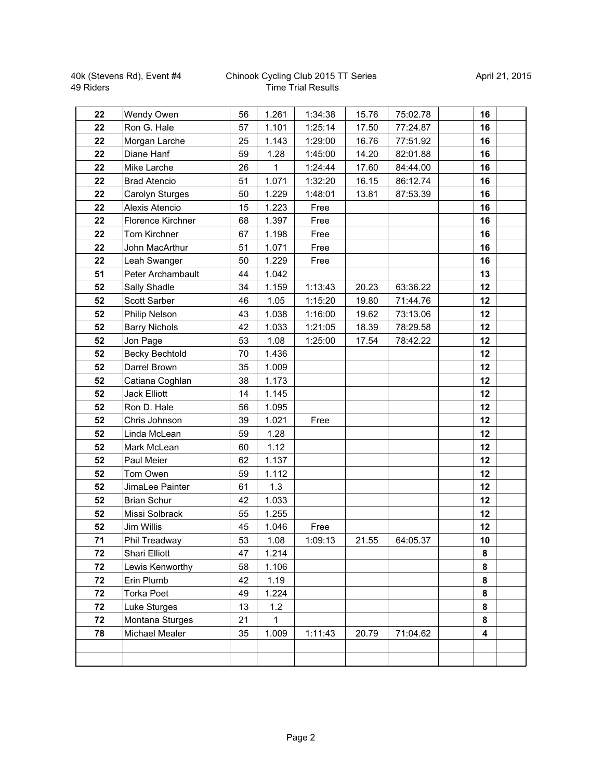| 22 | Wendy Owen            | 56 | 1.261 | 1:34:38 | 15.76 | 75:02.78 | 16 |
|----|-----------------------|----|-------|---------|-------|----------|----|
| 22 | Ron G. Hale           | 57 | 1.101 | 1:25:14 | 17.50 | 77:24.87 | 16 |
| 22 | Morgan Larche         | 25 | 1.143 | 1:29:00 | 16.76 | 77:51.92 | 16 |
| 22 | Diane Hanf            | 59 | 1.28  | 1:45:00 | 14.20 | 82:01.88 | 16 |
| 22 | Mike Larche           | 26 | 1     | 1:24:44 | 17.60 | 84:44.00 | 16 |
| 22 | <b>Brad Atencio</b>   | 51 | 1.071 | 1:32:20 | 16.15 | 86:12.74 | 16 |
| 22 | Carolyn Sturges       | 50 | 1.229 | 1:48:01 | 13.81 | 87:53.39 | 16 |
| 22 | Alexis Atencio        | 15 | 1.223 | Free    |       |          | 16 |
| 22 | Florence Kirchner     | 68 | 1.397 | Free    |       |          | 16 |
| 22 | Tom Kirchner          | 67 | 1.198 | Free    |       |          | 16 |
| 22 | John MacArthur        | 51 | 1.071 | Free    |       |          | 16 |
| 22 | Leah Swanger          | 50 | 1.229 | Free    |       |          | 16 |
| 51 | Peter Archambault     | 44 | 1.042 |         |       |          | 13 |
| 52 | Sally Shadle          | 34 | 1.159 | 1:13:43 | 20.23 | 63:36.22 | 12 |
| 52 | Scott Sarber          | 46 | 1.05  | 1:15:20 | 19.80 | 71:44.76 | 12 |
| 52 | Philip Nelson         | 43 | 1.038 | 1:16:00 | 19.62 | 73:13.06 | 12 |
| 52 | <b>Barry Nichols</b>  | 42 | 1.033 | 1:21:05 | 18.39 | 78:29.58 | 12 |
| 52 | Jon Page              | 53 | 1.08  | 1:25:00 | 17.54 | 78:42.22 | 12 |
| 52 | <b>Becky Bechtold</b> | 70 | 1.436 |         |       |          | 12 |
| 52 | Darrel Brown          | 35 | 1.009 |         |       |          | 12 |
| 52 | Catiana Coghlan       | 38 | 1.173 |         |       |          | 12 |
| 52 | <b>Jack Elliott</b>   | 14 | 1.145 |         |       |          | 12 |
| 52 | Ron D. Hale           | 56 | 1.095 |         |       |          | 12 |
| 52 | Chris Johnson         | 39 | 1.021 | Free    |       |          | 12 |
| 52 | Linda McLean          | 59 | 1.28  |         |       |          | 12 |
| 52 | Mark McLean           | 60 | 1.12  |         |       |          | 12 |
| 52 | Paul Meier            | 62 | 1.137 |         |       |          | 12 |
| 52 | Tom Owen              | 59 | 1.112 |         |       |          | 12 |
| 52 | JimaLee Painter       | 61 | 1.3   |         |       |          | 12 |
| 52 | <b>Brian Schur</b>    | 42 | 1.033 |         |       |          | 12 |
| 52 | Missi Solbrack        | 55 | 1.255 |         |       |          | 12 |
| 52 | Jim Willis            | 45 | 1.046 | Free    |       |          | 12 |
| 71 | Phil Treadway         | 53 | 1.08  | 1:09:13 | 21.55 | 64:05.37 | 10 |
| 72 | Shari Elliott         | 47 | 1.214 |         |       |          | 8  |
| 72 | Lewis Kenworthy       | 58 | 1.106 |         |       |          | 8  |
| 72 | Erin Plumb            | 42 | 1.19  |         |       |          | 8  |
| 72 | <b>Torka Poet</b>     | 49 | 1.224 |         |       |          | 8  |
| 72 | Luke Sturges          | 13 | 1.2   |         |       |          | 8  |
| 72 | Montana Sturges       | 21 | 1     |         |       |          | 8  |
| 78 | Michael Mealer        | 35 | 1.009 | 1:11:43 | 20.79 | 71:04.62 | 4  |
|    |                       |    |       |         |       |          |    |
|    |                       |    |       |         |       |          |    |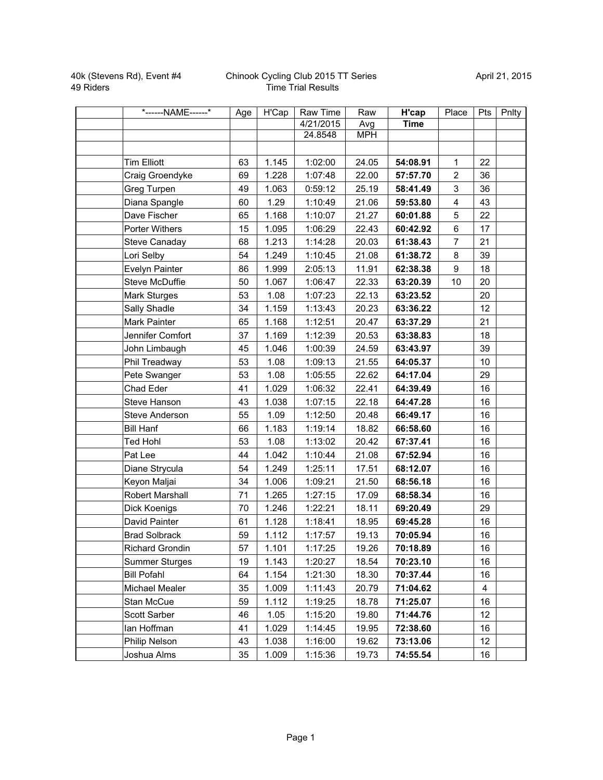| *------NAME------*     | Age | H'Cap | Raw Time  | Raw        | H'cap       | Place                   | Pts | Pnlty |
|------------------------|-----|-------|-----------|------------|-------------|-------------------------|-----|-------|
|                        |     |       | 4/21/2015 | Avg        | <b>Time</b> |                         |     |       |
|                        |     |       | 24.8548   | <b>MPH</b> |             |                         |     |       |
|                        |     |       |           |            |             |                         |     |       |
| <b>Tim Elliott</b>     | 63  | 1.145 | 1:02:00   | 24.05      | 54:08.91    | 1                       | 22  |       |
| Craig Groendyke        | 69  | 1.228 | 1:07:48   | 22.00      | 57:57.70    | $\overline{2}$          | 36  |       |
| Greg Turpen            | 49  | 1.063 | 0:59:12   | 25.19      | 58:41.49    | 3                       | 36  |       |
| Diana Spangle          | 60  | 1.29  | 1:10:49   | 21.06      | 59:53.80    | $\overline{\mathbf{4}}$ | 43  |       |
| Dave Fischer           | 65  | 1.168 | 1:10:07   | 21.27      | 60:01.88    | 5                       | 22  |       |
| Porter Withers         | 15  | 1.095 | 1:06:29   | 22.43      | 60:42.92    | 6                       | 17  |       |
| Steve Canaday          | 68  | 1.213 | 1:14:28   | 20.03      | 61:38.43    | $\overline{7}$          | 21  |       |
| Lori Selby             | 54  | 1.249 | 1:10:45   | 21.08      | 61:38.72    | 8                       | 39  |       |
| Evelyn Painter         | 86  | 1.999 | 2:05:13   | 11.91      | 62:38.38    | $\boldsymbol{9}$        | 18  |       |
| <b>Steve McDuffie</b>  | 50  | 1.067 | 1:06:47   | 22.33      | 63:20.39    | 10                      | 20  |       |
| Mark Sturges           | 53  | 1.08  | 1:07:23   | 22.13      | 63:23.52    |                         | 20  |       |
| Sally Shadle           | 34  | 1.159 | 1:13:43   | 20.23      | 63:36.22    |                         | 12  |       |
| Mark Painter           | 65  | 1.168 | 1:12:51   | 20.47      | 63:37.29    |                         | 21  |       |
| Jennifer Comfort       | 37  | 1.169 | 1:12:39   | 20.53      | 63:38.83    |                         | 18  |       |
| John Limbaugh          | 45  | 1.046 | 1:00:39   | 24.59      | 63:43.97    |                         | 39  |       |
| Phil Treadway          | 53  | 1.08  | 1:09:13   | 21.55      | 64:05.37    |                         | 10  |       |
| Pete Swanger           | 53  | 1.08  | 1:05:55   | 22.62      | 64:17.04    |                         | 29  |       |
| Chad Eder              | 41  | 1.029 | 1:06:32   | 22.41      | 64:39.49    |                         | 16  |       |
| Steve Hanson           | 43  | 1.038 | 1:07:15   | 22.18      | 64:47.28    |                         | 16  |       |
| Steve Anderson         | 55  | 1.09  | 1:12:50   | 20.48      | 66:49.17    |                         | 16  |       |
| <b>Bill Hanf</b>       | 66  | 1.183 | 1:19:14   | 18.82      | 66:58.60    |                         | 16  |       |
| Ted Hohl               | 53  | 1.08  | 1:13:02   | 20.42      | 67:37.41    |                         | 16  |       |
| Pat Lee                | 44  | 1.042 | 1:10:44   | 21.08      | 67:52.94    |                         | 16  |       |
| Diane Strycula         | 54  | 1.249 | 1:25:11   | 17.51      | 68:12.07    |                         | 16  |       |
| Keyon Maljai           | 34  | 1.006 | 1:09:21   | 21.50      | 68:56.18    |                         | 16  |       |
| Robert Marshall        | 71  | 1.265 | 1:27:15   | 17.09      | 68:58.34    |                         | 16  |       |
| Dick Koenigs           | 70  | 1.246 | 1:22:21   | 18.11      | 69:20.49    |                         | 29  |       |
| David Painter          | 61  | 1.128 | 1:18:41   | 18.95      | 69:45.28    |                         | 16  |       |
| <b>Brad Solbrack</b>   | 59  | 1.112 | 1:17:57   | 19.13      | 70:05.94    |                         | 16  |       |
| <b>Richard Grondin</b> | 57  | 1.101 | 1:17:25   | 19.26      | 70:18.89    |                         | 16  |       |
| <b>Summer Sturges</b>  | 19  | 1.143 | 1:20:27   | 18.54      | 70:23.10    |                         | 16  |       |
| <b>Bill Pofahl</b>     | 64  | 1.154 | 1:21:30   | 18.30      | 70:37.44    |                         | 16  |       |
| Michael Mealer         | 35  | 1.009 | 1:11:43   | 20.79      | 71:04.62    |                         | 4   |       |
| Stan McCue             | 59  | 1.112 | 1:19:25   | 18.78      | 71:25.07    |                         | 16  |       |
| Scott Sarber           | 46  | 1.05  | 1:15:20   | 19.80      | 71:44.76    |                         | 12  |       |
| lan Hoffman            | 41  | 1.029 | 1:14:45   | 19.95      | 72:38.60    |                         | 16  |       |
| Philip Nelson          | 43  | 1.038 | 1:16:00   | 19.62      | 73:13.06    |                         | 12  |       |
| Joshua Alms            | 35  | 1.009 | 1:15:36   | 19.73      | 74:55.54    |                         | 16  |       |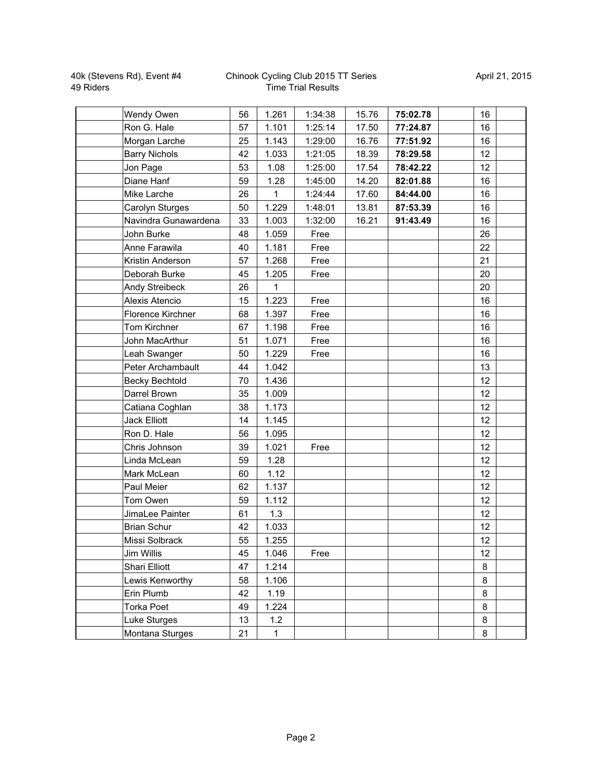| Wendy Owen            | 56 | 1.261        | 1:34:38 | 15.76 | 75:02.78 | 16 |  |
|-----------------------|----|--------------|---------|-------|----------|----|--|
| Ron G. Hale           | 57 | 1.101        | 1:25:14 | 17.50 | 77:24.87 | 16 |  |
| Morgan Larche         | 25 | 1.143        | 1:29:00 | 16.76 | 77:51.92 | 16 |  |
| <b>Barry Nichols</b>  | 42 | 1.033        | 1:21:05 | 18.39 | 78:29.58 | 12 |  |
| Jon Page              | 53 | 1.08         | 1:25:00 | 17.54 | 78:42.22 | 12 |  |
| Diane Hanf            | 59 | 1.28         | 1:45:00 | 14.20 | 82:01.88 | 16 |  |
| Mike Larche           | 26 | 1            | 1:24:44 | 17.60 | 84:44.00 | 16 |  |
| Carolyn Sturges       | 50 | 1.229        | 1:48:01 | 13.81 | 87:53.39 | 16 |  |
| Navindra Gunawardena  | 33 | 1.003        | 1:32:00 | 16.21 | 91:43.49 | 16 |  |
| John Burke            | 48 | 1.059        | Free    |       |          | 26 |  |
| Anne Farawila         | 40 | 1.181        | Free    |       |          | 22 |  |
| Kristin Anderson      | 57 | 1.268        | Free    |       |          | 21 |  |
| Deborah Burke         | 45 | 1.205        | Free    |       |          | 20 |  |
| Andy Streibeck        | 26 | $\mathbf{1}$ |         |       |          | 20 |  |
| Alexis Atencio        | 15 | 1.223        | Free    |       |          | 16 |  |
| Florence Kirchner     | 68 | 1.397        | Free    |       |          | 16 |  |
| Tom Kirchner          | 67 | 1.198        | Free    |       |          | 16 |  |
| John MacArthur        | 51 | 1.071        | Free    |       |          | 16 |  |
| Leah Swanger          | 50 | 1.229        | Free    |       |          | 16 |  |
| Peter Archambault     | 44 | 1.042        |         |       |          | 13 |  |
| <b>Becky Bechtold</b> | 70 | 1.436        |         |       |          | 12 |  |
| Darrel Brown          | 35 | 1.009        |         |       |          | 12 |  |
| Catiana Coghlan       | 38 | 1.173        |         |       |          | 12 |  |
| <b>Jack Elliott</b>   | 14 | 1.145        |         |       |          | 12 |  |
| Ron D. Hale           | 56 | 1.095        |         |       |          | 12 |  |
| Chris Johnson         | 39 | 1.021        | Free    |       |          | 12 |  |
| Linda McLean          | 59 | 1.28         |         |       |          | 12 |  |
| Mark McLean           | 60 | 1.12         |         |       |          | 12 |  |
| Paul Meier            | 62 | 1.137        |         |       |          | 12 |  |
| Tom Owen              | 59 | 1.112        |         |       |          | 12 |  |
| JimaLee Painter       | 61 | 1.3          |         |       |          | 12 |  |
| <b>Brian Schur</b>    | 42 | 1.033        |         |       |          | 12 |  |
| Missi Solbrack        | 55 | 1.255        |         |       |          | 12 |  |
| Jim Willis            | 45 | 1.046        | Free    |       |          | 12 |  |
| Shari Elliott         | 47 | 1.214        |         |       |          | 8  |  |
| Lewis Kenworthy       | 58 | 1.106        |         |       |          | 8  |  |
| Erin Plumb            | 42 | 1.19         |         |       |          | 8  |  |
| <b>Torka Poet</b>     | 49 | 1.224        |         |       |          | 8  |  |
| Luke Sturges          | 13 | 1.2          |         |       |          | 8  |  |
| Montana Sturges       | 21 | $\mathbf{1}$ |         |       |          | 8  |  |